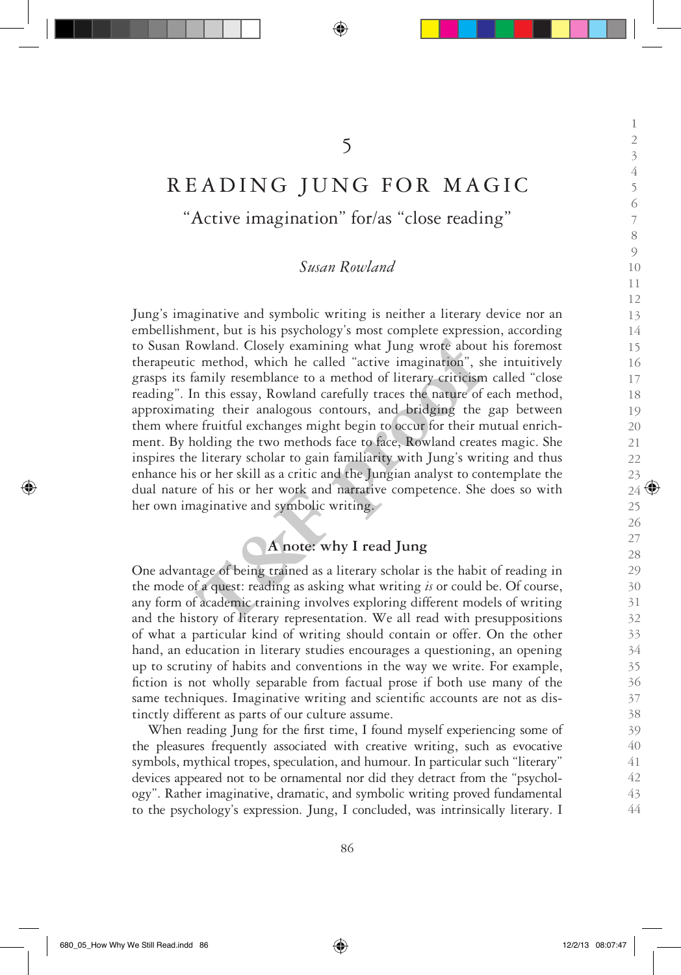# READING JUNG FOR MAGIC

"Active imagination" for/as "close reading"

## *Susan Rowland*

Jung's imaginative and symbolic writing is neither a literary device nor an embellishment, but is his psychology's most complete expression, according to Susan Rowland. Closely examining what Jung wrote about his foremost therapeutic method, which he called "active imagination", she intuitively grasps its family resemblance to a method of literary criticism called "close reading". In this essay, Rowland carefully traces the nature of each method, approximating their analogous contours, and bridging the gap between them where fruitful exchanges might begin to occur for their mutual enrichment. By holding the two methods face to face, Rowland creates magic. She inspires the literary scholar to gain familiarity with Jung's writing and thus enhance his or her skill as a critic and the Jungian analyst to contemplate the dual nature of his or her work and narrative competence. She does so with her own imaginative and symbolic writing. 680\_05\_How Why We Still Read.indd 86 12/2/13 08:07:47 **T&F proof**

## **A note: why I read Jung**

One advantage of being trained as a literary scholar is the habit of reading in the mode of a quest: reading as asking what writing *is* or could be. Of course, any form of academic training involves exploring different models of writing and the history of literary representation. We all read with presuppositions of what a particular kind of writing should contain or offer. On the other hand, an education in literary studies encourages a questioning, an opening up to scrutiny of habits and conventions in the way we write. For example, fiction is not wholly separable from factual prose if both use many of the same techniques. Imaginative writing and scientific accounts are not as distinctly different as parts of our culture assume.

When reading Jung for the first time, I found myself experiencing some of the pleasures frequently associated with creative writing, such as evocative symbols, mythical tropes, speculation, and humour. In particular such "literary" devices appeared not to be ornamental nor did they detract from the "psychology". Rather imaginative, dramatic, and symbolic writing proved fundamental to the psychology's expression. Jung, I concluded, was intrinsically literary. I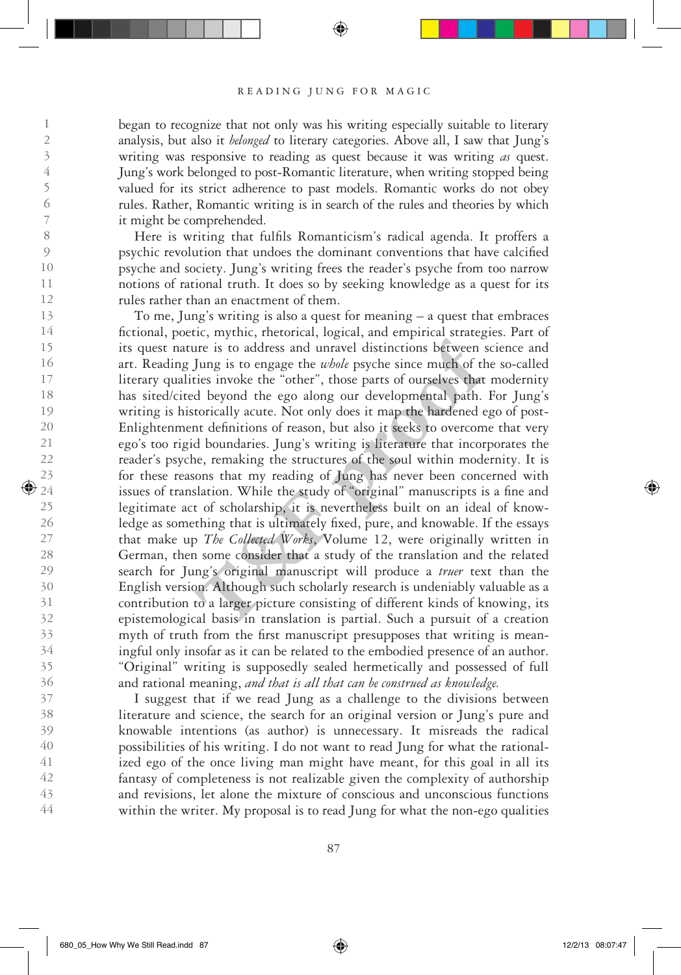began to recognize that not only was his writing especially suitable to literary analysis, but also it *belonged* to literary categories. Above all, I saw that Jung's writing was responsive to reading as quest because it was writing *as* quest. Jung's work belonged to post-Romantic literature, when writing stopped being valued for its strict adherence to past models. Romantic works do not obey rules. Rather, Romantic writing is in search of the rules and theories by which it might be comprehended.

Here is writing that fulfils Romanticism's radical agenda. It proffers a psychic revolution that undoes the dominant conventions that have calcified psyche and society. Jung's writing frees the reader's psyche from too narrow notions of rational truth. It does so by seeking knowledge as a quest for its rules rather than an enactment of them.

 $)$  $\overline{a}$  $\overline{a}$  $\frac{1}{2}$  $\mathfrak{t}$  $\frac{1}{2}$  $\frac{1}{2}$ 17 8  $)$  $)$  $\overline{a}$  $\overline{2}$  $\frac{2}{3}$  $\mathfrak{t}$ 5  $\tilde{1}$ 27 <sup>2</sup>  $)$  $)$  $\overline{a}$  $\overline{2}$  $\frac{3}{2}$  $\mathfrak{f}$ 5  $\tilde{1}$ 37 38  $)$  $)$  $\overline{a}$  $\overline{2}$  $\frac{1}{2}$  $\mathfrak{f}$ 

To me, Jung's writing is also a quest for meaning – a quest that embraces fictional, poetic, mythic, rhetorical, logical, and empirical strategies. Part of its quest nature is to address and unravel distinctions between science and art. Reading Jung is to engage the *whole* psyche since much of the so-called literary qualities invoke the "other", those parts of ourselves that modernity has sited/cited beyond the ego along our developmental path. For Jung's writing is historically acute. Not only does it map the hardened ego of post-Enlightenment definitions of reason, but also it seeks to overcome that very ego's too rigid boundaries. Jung's writing is literature that incorporates the reader's psyche, remaking the structures of the soul within modernity. It is for these reasons that my reading of Jung has never been concerned with issues of translation. While the study of "original" manuscripts is a fine and legitimate act of scholarship, it is nevertheless built on an ideal of knowledge as something that is ultimately fixed, pure, and knowable. If the essays that make up *The Collected Works*, Volume 12, were originally written in German, then some consider that a study of the translation and the related search for Jung's original manuscript will produce a *truer* text than the English version. Although such scholarly research is undeniably valuable as a contribution to a larger picture consisting of different kinds of knowing, its epistemological basis in translation is partial. Such a pursuit of a creation myth of truth from the first manuscript presupposes that writing is meaningful only insofar as it can be related to the embodied presence of an author. "Original" writing is supposedly sealed hermetically and possessed of full and rational meaning, *and that is all that can be construed as knowledge.* any sole and the matrix of the matrix of the matrix of the matrix of the matrix of the matrix of the matrix of the matrix of the matrix of the matrix of the matrix of the matrix of the matrix of the matrix of the matrix of

I suggest that if we read Jung as a challenge to the divisions between literature and science, the search for an original version or Jung's pure and knowable intentions (as author) is unnecessary. It misreads the radical possibilities of his writing. I do not want to read Jung for what the rationalized ego of the once living man might have meant, for this goal in all its fantasy of completeness is not realizable given the complexity of authorship and revisions, let alone the mixture of conscious and unconscious functions within the writer. My proposal is to read Jung for what the non-ego qualities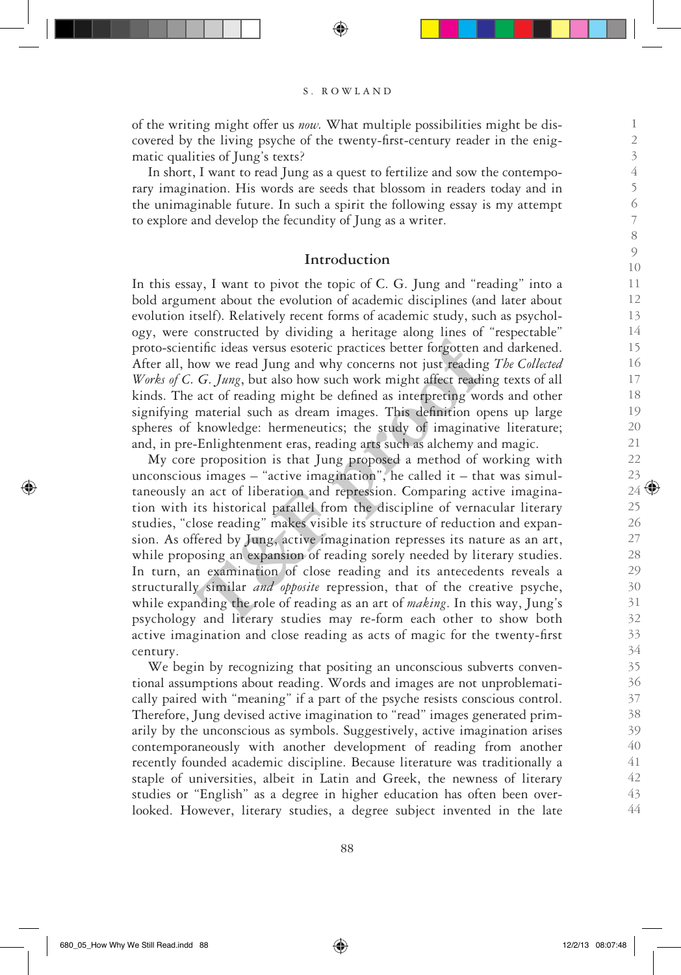of the writing might offer us *now.* What multiple possibilities might be discovered by the living psyche of the twenty-first-century reader in the enigmatic qualities of Jung's texts?

 In short, I want to read Jung as a quest to fertilize and sow the contemporary imagination. His words are seeds that blossom in readers today and in the unimaginable future. In such a spirit the following essay is my attempt to explore and develop the fecundity of Jung as a writer.

#### **Introduction**

In this essay, I want to pivot the topic of C. G. Jung and "reading" into a bold argument about the evolution of academic disciplines (and later about evolution itself). Relatively recent forms of academic study, such as psychology, were constructed by dividing a heritage along lines of "respectable" proto-scientific ideas versus esoteric practices better forgotten and darkened. After all, how we read Jung and why concerns not just reading *The Collected Works of C. G. Jung*, but also how such work might affect reading texts of all kinds. The act of reading might be defined as interpreting words and other signifying material such as dream images. This definition opens up large spheres of knowledge: hermeneutics; the study of imaginative literature; and, in pre-Enlightenment eras, reading arts such as alchemy and magic.

 My core proposition is that Jung proposed a method of working with unconscious images – "active imagination", he called it – that was simultaneously an act of liberation and repression. Comparing active imagination with its historical parallel from the discipline of vernacular literary studies, "close reading" makes visible its structure of reduction and expansion. As offered by Jung, active imagination represses its nature as an art, while proposing an expansion of reading sorely needed by literary studies. In turn, an examination of close reading and its antecedents reveals a structurally similar *and opposite* repression, that of the creative psyche, while expanding the role of reading as an art of *making*. In this way, Jung's psychology and literary studies may re-form each other to show both active imagination and close reading as acts of magic for the twenty-first century. from<br>the first of the main consideration of the two stress of the consideration<br>of the first density and the strengthenium of the main consideration of<br>the strength of the main consideration. How why implication the trans

We begin by recognizing that positing an unconscious subverts conventional assumptions about reading. Words and images are not unproblematically paired with "meaning" if a part of the psyche resists conscious control. Therefore, Jung devised active imagination to "read" images generated primarily by the unconscious as symbols. Suggestively, active imagination arises contemporaneously with another development of reading from another recently founded academic discipline. Because literature was traditionally a staple of universities, albeit in Latin and Greek, the newness of literary studies or "English" as a degree in higher education has often been overlooked. However, literary studies, a degree subject invented in the late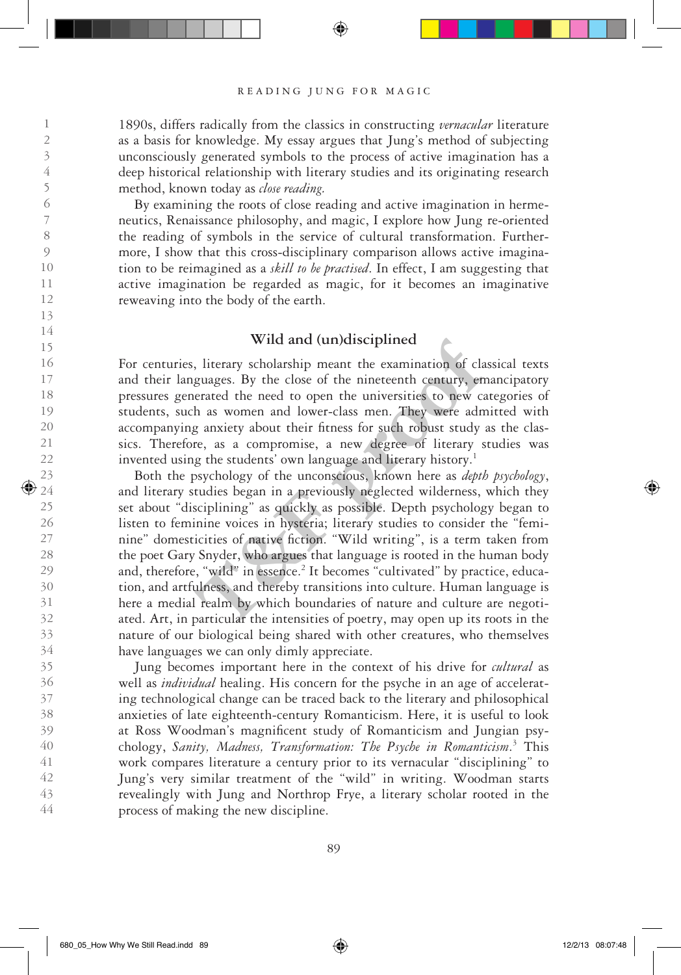1890s, differs radically from the classics in constructing *vernacular* literature as a basis for knowledge. My essay argues that Jung's method of subjecting unconsciously generated symbols to the process of active imagination has a deep historical relationship with literary studies and its originating research method, known today as *close reading.*

By examining the roots of close reading and active imagination in hermeneutics, Renaissance philosophy, and magic, I explore how Jung re-oriented the reading of symbols in the service of cultural transformation. Furthermore, I show that this cross-disciplinary comparison allows active imagination to be reimagined as a *skill to be practised*. In effect, I am suggesting that active imagination be regarded as magic, for it becomes an imaginative reweaving into the body of the earth.

#### **Wild and (un)disciplined**

For centuries, literary scholarship meant the examination of classical texts and their languages. By the close of the nineteenth century, emancipatory pressures generated the need to open the universities to new categories of students, such as women and lower-class men. They were admitted with accompanying anxiety about their fitness for such robust study as the classics. Therefore, as a compromise, a new degree of literary studies was invented using the students' own language and literary history.<sup>1</sup>

Both the psychology of the unconscious, known here as *depth psychology*, and literary studies began in a previously neglected wilderness, which they set about "disciplining" as quickly as possible. Depth psychology began to listen to feminine voices in hysteria; literary studies to consider the "feminine" domesticities of native fiction. "Wild writing", is a term taken from the poet Gary Snyder, who argues that language is rooted in the human body and, therefore, "wild" in essence.<sup>2</sup> It becomes "cultivated" by practice, education, and artfulness, and thereby transitions into culture. Human language is here a medial realm by which boundaries of nature and culture are negotiated. Art, in particular the intensities of poetry, may open up its roots in the nature of our biological being shared with other creatures, who themselves have languages we can only dimly appreciate. assession of the method of the method of the method of the method of the method in the method in the method in the method in the method in the method in the method in the method in the method in the method in the method in

Jung becomes important here in the context of his drive for *cultural* as well as *individual* healing. His concern for the psyche in an age of accelerating technological change can be traced back to the literary and philosophical anxieties of late eighteenth-century Romanticism. Here, it is useful to look at Ross Woodman's magnificent study of Romanticism and Jungian psychology, *Sanity, Madness, Transformation: The Psyche in Romanticism*. 3 This work compares literature a century prior to its vernacular "disciplining" to Jung's very similar treatment of the "wild" in writing. Woodman starts revealingly with Jung and Northrop Frye, a literary scholar rooted in the process of making the new discipline.

 $\mathfrak{f}$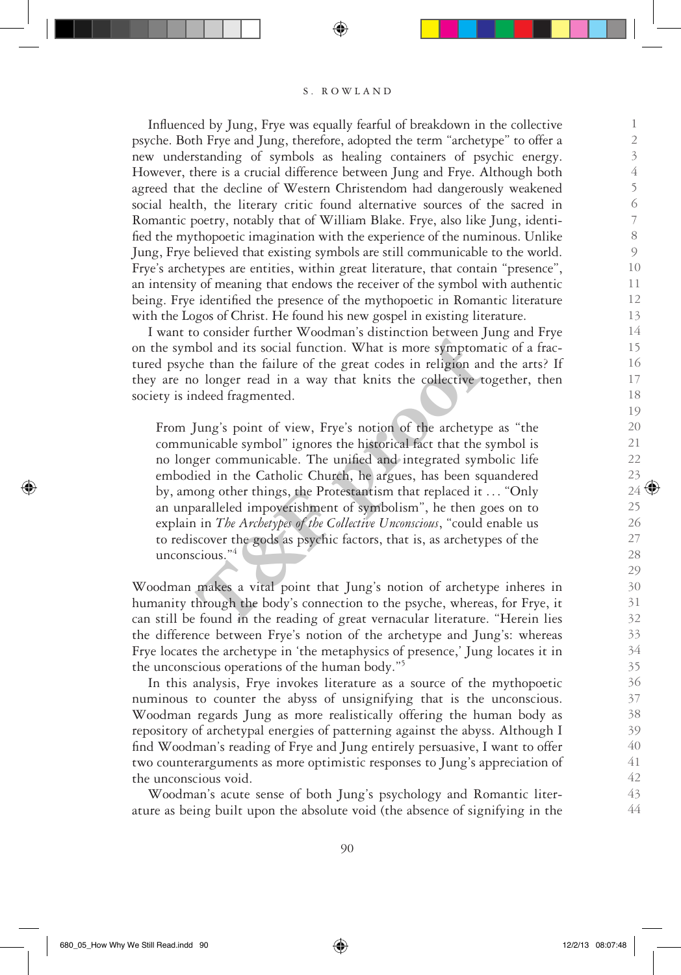Influenced by Jung, Frye was equally fearful of breakdown in the collective psyche. Both Frye and Jung, therefore, adopted the term "archetype" to offer a new understanding of symbols as healing containers of psychic energy. However, there is a crucial difference between Jung and Frye. Although both agreed that the decline of Western Christendom had dangerously weakened social health, the literary critic found alternative sources of the sacred in Romantic poetry, notably that of William Blake. Frye, also like Jung, identified the mythopoetic imagination with the experience of the numinous. Unlike Jung, Frye believed that existing symbols are still communicable to the world. Frye's archetypes are entities, within great literature, that contain "presence", an intensity of meaning that endows the receiver of the symbol with authentic being. Frye identified the presence of the mythopoetic in Romantic literature with the Logos of Christ. He found his new gospel in existing literature. For the state of the state of the state of the state of the state of the state of the state of the state of the state of the state of the state of the state of the state of the state of the state of the state of the state

 I want to consider further Woodman's distinction between Jung and Frye on the symbol and its social function. What is more symptomatic of a fractured psyche than the failure of the great codes in religion and the arts? If they are no longer read in a way that knits the collective together, then society is indeed fragmented.

From Jung's point of view, Frye's notion of the archetype as "the communicable symbol" ignores the historical fact that the symbol is no longer communicable. The unified and integrated symbolic life embodied in the Catholic Church, he argues, has been squandered by, among other things, the Protestantism that replaced it . .. "Only an unparalleled impoverishment of symbolism", he then goes on to explain in *The Archetypes of the Collective Unconscious*, "could enable us to rediscover the gods as psychic factors, that is, as archetypes of the unconscious."4

Woodman makes a vital point that Jung's notion of archetype inheres in humanity through the body's connection to the psyche, whereas, for Frye, it can still be found in the reading of great vernacular literature. "Herein lies the difference between Frye's notion of the archetype and Jung's: whereas Frye locates the archetype in 'the metaphysics of presence,' Jung locates it in the unconscious operations of the human body."5

 In this analysis, Frye invokes literature as a source of the mythopoetic numinous to counter the abyss of unsignifying that is the unconscious. Woodman regards Jung as more realistically offering the human body as repository of archetypal energies of patterning against the abyss. Although I find Woodman's reading of Frye and Jung entirely persuasive, I want to offer two counterarguments as more optimistic responses to Jung's appreciation of the unconscious void.

Woodman's acute sense of both Jung's psychology and Romantic literature as being built upon the absolute void (the absence of signifying in the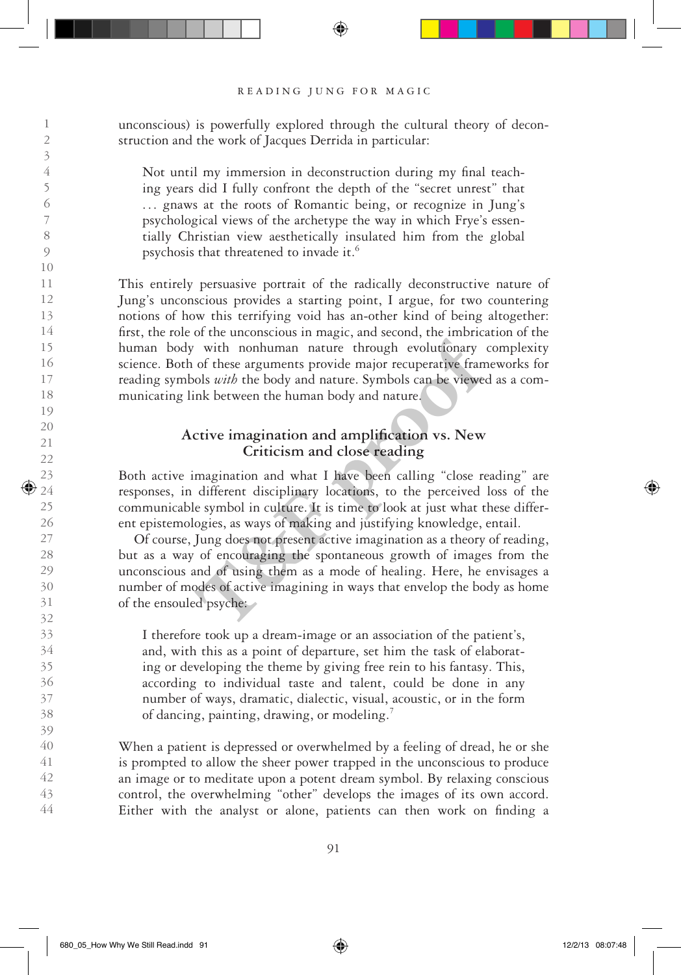unconscious) is powerfully explored through the cultural theory of deconstruction and the work of Jacques Derrida in particular:

Not until my immersion in deconstruction during my final teaching years did I fully confront the depth of the "secret unrest" that ... gnaws at the roots of Romantic being, or recognize in Jung's psychological views of the archetype the way in which Frye's essentially Christian view aesthetically insulated him from the global psychosis that threatened to invade it.<sup>6</sup>

This entirely persuasive portrait of the radically deconstructive nature of Jung's unconscious provides a starting point, I argue, for two countering notions of how this terrifying void has an-other kind of being altogether: first, the role of the unconscious in magic, and second, the imbrication of the human body with nonhuman nature through evolutionary complexity science. Both of these arguments provide major recuperative frameworks for reading symbols *with* the body and nature. Symbols can be viewed as a communicating link between the human body and nature. State and mean the value of the parton in the legel of the state units and proposed in the state of the state and the state and the state of the state and the state of the state and the state of the state and the state an

### **Active imagination and amplification vs. New Criticism and close reading**

Both active imagination and what I have been calling "close reading" are responses, in different disciplinary locations, to the perceived loss of the communicable symbol in culture. It is time to look at just what these different epistemologies, as ways of making and justifying knowledge, entail.

 Of course, Jung does not present active imagination as a theory of reading, but as a way of encouraging the spontaneous growth of images from the unconscious and of using them as a mode of healing. Here, he envisages a number of modes of active imagining in ways that envelop the body as home of the ensouled psyche:

I therefore took up a dream-image or an association of the patient's, and, with this as a point of departure, set him the task of elaborating or developing the theme by giving free rein to his fantasy. This, according to individual taste and talent, could be done in any number of ways, dramatic, dialectic, visual, acoustic, or in the form of dancing, painting, drawing, or modeling.7

When a patient is depressed or overwhelmed by a feeling of dread, he or she is prompted to allow the sheer power trapped in the unconscious to produce an image or to meditate upon a potent dream symbol. By relaxing conscious control, the overwhelming "other" develops the images of its own accord. Either with the analyst or alone, patients can then work on finding a

 $)$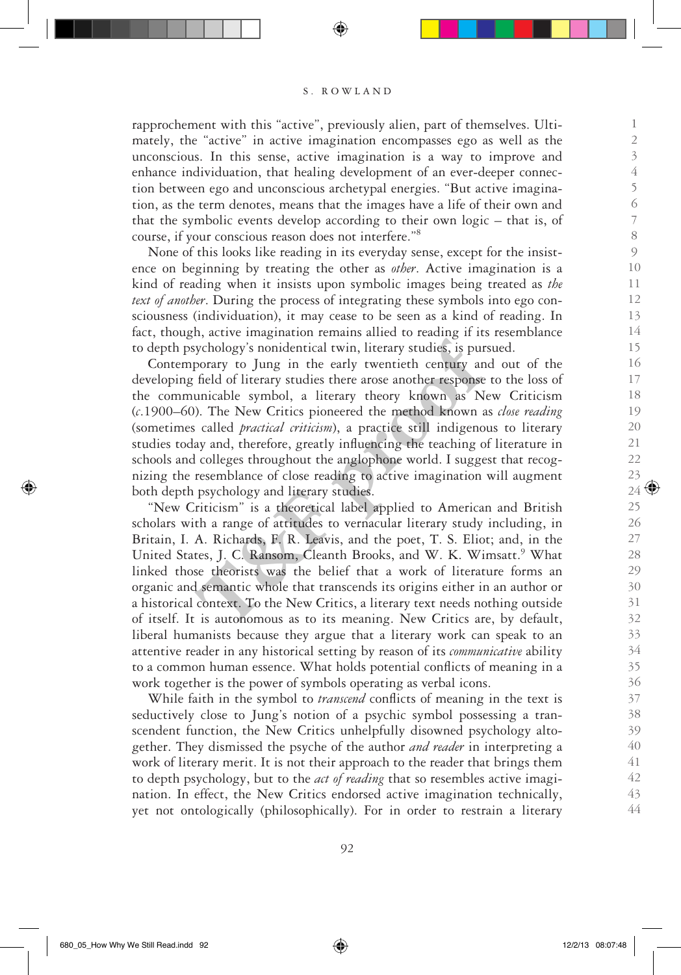rapprochement with this "active", previously alien, part of themselves. Ultimately, the "active" in active imagination encompasses ego as well as the unconscious. In this sense, active imagination is a way to improve and enhance individuation, that healing development of an ever-deeper connection between ego and unconscious archetypal energies. "But active imagination, as the term denotes, means that the images have a life of their own and that the symbolic events develop according to their own logic – that is, of course, if your conscious reason does not interfere."8

 None of this looks like reading in its everyday sense, except for the insistence on beginning by treating the other as *other*. Active imagination is a kind of reading when it insists upon symbolic images being treated as *the text of another*. During the process of integrating these symbols into ego consciousness (individuation), it may cease to be seen as a kind of reading. In fact, though, active imagination remains allied to reading if its resemblance to depth psychology's nonidentical twin, literary studies, is pursued.

 Contemporary to Jung in the early twentieth century and out of the developing field of literary studies there arose another response to the loss of the communicable symbol, a literary theory known as New Criticism (*c*.1900–60). The New Critics pioneered the method known as *close reading* (sometimes called *practical criticism*), a practice still indigenous to literary studies today and, therefore, greatly influencing the teaching of literature in schools and colleges throughout the anglophone world. I suggest that recognizing the resemblance of close reading to active imagination will augment both depth psychology and literary studies.

"New Criticism" is a theoretical label applied to American and British scholars with a range of attitudes to vernacular literary study including, in Britain, I. A. Richards, F. R. Leavis, and the poet, T. S. Eliot; and, in the United States, J. C. Ransom, Cleanth Brooks, and W. K. Wimsatt.<sup>9</sup> What linked those theorists was the belief that a work of literature forms an organic and semantic whole that transcends its origins either in an author or a historical context. To the New Critics, a literary text needs nothing outside of itself. It is autonomous as to its meaning. New Critics are, by default, liberal humanists because they argue that a literary work can speak to an attentive reader in any historical setting by reason of its *communicative* ability to a common human essence. What holds potential conflicts of meaning in a work together is the power of symbols operating as verbal icons. macro. The also the matrix of the matrix of the matrix of the matrix of the matrix of the matrix of the matrix of the matrix of the matrix of the matrix of the matrix of the matrix of the matrix of the matrix of the matrix

While faith in the symbol to *transcend* conflicts of meaning in the text is seductively close to Jung's notion of a psychic symbol possessing a transcendent function, the New Critics unhelpfully disowned psychology altogether. They dismissed the psyche of the author *and reader* in interpreting a work of literary merit. It is not their approach to the reader that brings them to depth psychology, but to the *act of reading* that so resembles active imagination. In effect, the New Critics endorsed active imagination technically, yet not ontologically (philosophically). For in order to restrain a literary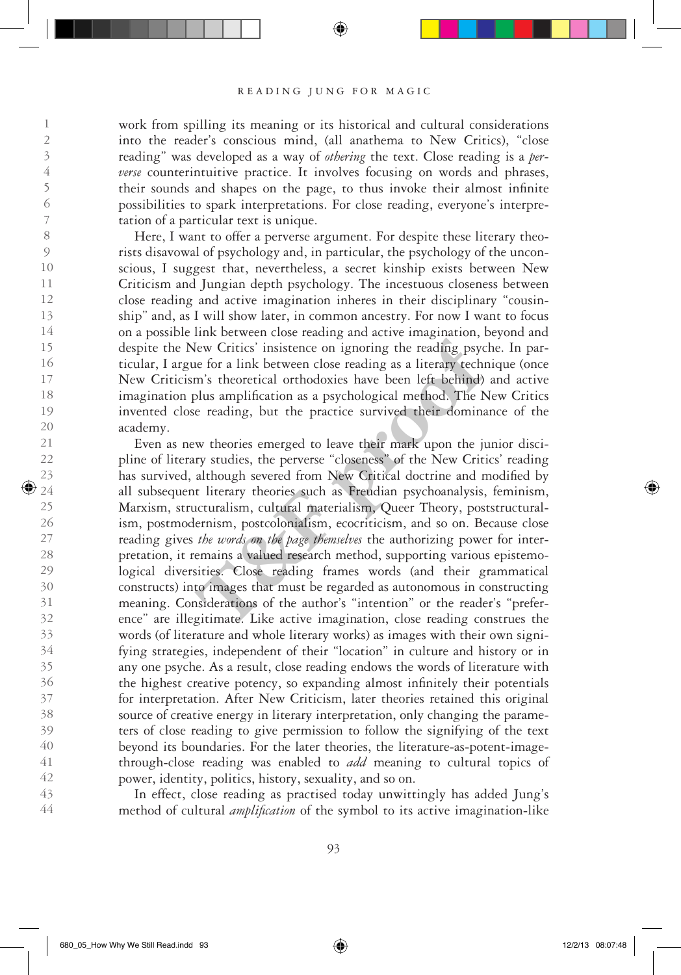work from spilling its meaning or its historical and cultural considerations into the reader's conscious mind, (all anathema to New Critics), "close reading" was developed as a way of *othering* the text. Close reading is a *perverse* counterintuitive practice. It involves focusing on words and phrases, their sounds and shapes on the page, to thus invoke their almost infinite possibilities to spark interpretations. For close reading, everyone's interpretation of a particular text is unique.

Here, I want to offer a perverse argument. For despite these literary theorists disavowal of psychology and, in particular, the psychology of the unconscious, I suggest that, nevertheless, a secret kinship exists between New Criticism and Jungian depth psychology. The incestuous closeness between close reading and active imagination inheres in their disciplinary "cousinship" and, as I will show later, in common ancestry. For now I want to focus on a possible link between close reading and active imagination, beyond and despite the New Critics' insistence on ignoring the reading psyche. In particular, I argue for a link between close reading as a literary technique (once New Criticism's theoretical orthodoxies have been left behind) and active imagination plus amplification as a psychological method. The New Critics invented close reading, but the practice survived their dominance of the academy.

 $)$  $\overline{a}$  $\overline{a}$  $\frac{1}{2}$  $\mathfrak{t}$  $\frac{1}{2}$  $\frac{1}{2}$ 17  $\overline{\mathbf{S}}$  $)$  $)$  $\overline{a}$  $\overline{2}$  $\frac{2}{3}$  $\mathfrak{t}$ 5  $\tilde{1}$ 27 <sup>2</sup>  $)$  $)$  $\overline{a}$  $\overline{2}$  $\frac{3}{2}$  $\mathfrak{f}$ 5  $\tilde{1}$ 37 38  $)$  $)$  $\overline{a}$  $\overline{2}$  $\frac{1}{2}$  $\mathfrak{f}$ 

 Even as new theories emerged to leave their mark upon the junior discipline of literary studies, the perverse "closeness" of the New Critics' reading has survived, although severed from New Critical doctrine and modified by all subsequent literary theories such as Freudian psychoanalysis, feminism, Marxism, structuralism, cultural materialism, Queer Theory, poststructuralism, postmodernism, postcolonialism, ecocriticism, and so on. Because close reading gives *the words on the page themselves* the authorizing power for interpretation, it remains a valued research method, supporting various epistemological diversities. Close reading frames words (and their grammatical constructs) into images that must be regarded as autonomous in constructing meaning. Considerations of the author's "intention" or the reader's "preference" are illegitimate. Like active imagination, close reading construes the words (of literature and whole literary works) as images with their own signifying strategies, independent of their "location" in culture and history or in any one psyche. As a result, close reading endows the words of literature with the highest creative potency, so expanding almost infinitely their potentials for interpretation. After New Criticism, later theories retained this original source of creative energy in literary interpretation, only changing the parameters of close reading to give permission to follow the signifying of the text beyond its boundaries. For the later theories, the literature-as-potent-imagethrough-close reading was enabled to *add* meaning to cultural topics of power, identity, politics, history, sexuality, and so on. not note was becomes so some of the material reader than the material counterparticle and the material reading the material reading the material reader of the material reader in the material properties and shows the materi

 In effect, close reading as practised today unwittingly has added Jung's method of cultural *amplification* of the symbol to its active imagination-like

93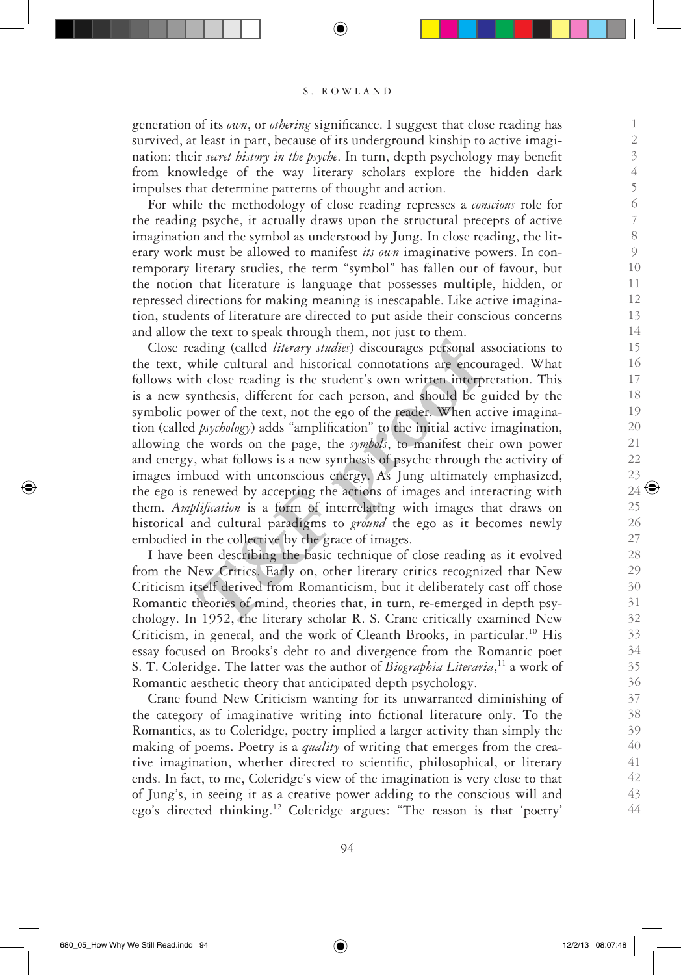generation of its *own*, or *othering* significance. I suggest that close reading has survived, at least in part, because of its underground kinship to active imagination: their *secret history in the psyche*. In turn, depth psychology may benefit from knowledge of the way literary scholars explore the hidden dark impulses that determine patterns of thought and action.

 For while the methodology of close reading represses a *conscious* role for the reading psyche, it actually draws upon the structural precepts of active imagination and the symbol as understood by Jung. In close reading, the literary work must be allowed to manifest *its own* imaginative powers. In contemporary literary studies, the term "symbol" has fallen out of favour, but the notion that literature is language that possesses multiple, hidden, or repressed directions for making meaning is inescapable. Like active imagination, students of literature are directed to put aside their conscious concerns and allow the text to speak through them, not just to them.

 Close reading (called *literary studies*) discourages personal associations to the text, while cultural and historical connotations are encouraged. What follows with close reading is the student's own written interpretation. This is a new synthesis, different for each person, and should be guided by the symbolic power of the text, not the ego of the reader. When active imagination (called *psychology*) adds "amplification" to the initial active imagination, allowing the words on the page, the *symbols*, to manifest their own power and energy, what follows is a new synthesis of psyche through the activity of images imbued with unconscious energy. As Jung ultimately emphasized, the ego is renewed by accepting the actions of images and interacting with them. *Amplification* is a form of interrelating with images that draws on historical and cultural paradigms to *ground* the ego as it becomes newly embodied in the collective by the grace of images. Antendent the mean of the transfer in the state of the figure of the mail state of the mean of the mean of the proof. In the mean of the state of the state in the mean of the state in the mean of the state in the mean of t

 I have been describing the basic technique of close reading as it evolved from the New Critics. Early on, other literary critics recognized that New Criticism itself derived from Romanticism, but it deliberately cast off those Romantic theories of mind, theories that, in turn, re-emerged in depth psychology. In 1952, the literary scholar R. S. Crane critically examined New Criticism, in general, and the work of Cleanth Brooks, in particular.<sup>10</sup> His essay focused on Brooks's debt to and divergence from the Romantic poet S. T. Coleridge. The latter was the author of *Biographia Literaria*,<sup>11</sup> a work of Romantic aesthetic theory that anticipated depth psychology.

 Crane found New Criticism wanting for its unwarranted diminishing of the category of imaginative writing into fictional literature only. To the Romantics, as to Coleridge, poetry implied a larger activity than simply the making of poems. Poetry is a *quality* of writing that emerges from the creative imagination, whether directed to scientific, philosophical, or literary ends. In fact, to me, Coleridge's view of the imagination is very close to that of Jung's, in seeing it as a creative power adding to the conscious will and ego's directed thinking.12 Coleridge argues: "The reason is that 'poetry'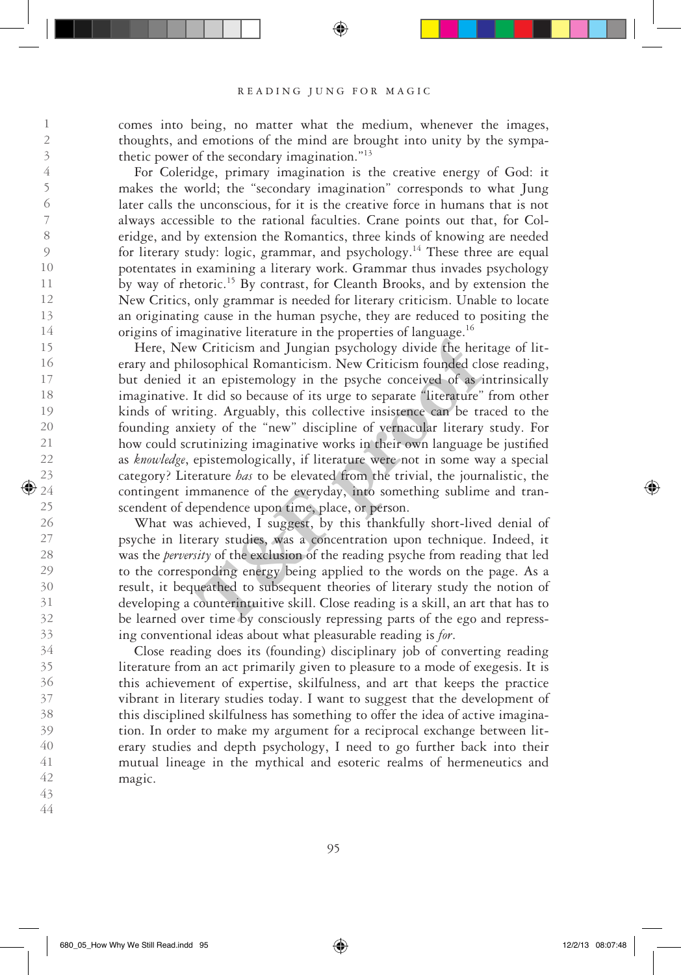comes into being, no matter what the medium, whenever the images, thoughts, and emotions of the mind are brought into unity by the sympathetic power of the secondary imagination."13

 For Coleridge, primary imagination is the creative energy of God: it makes the world; the "secondary imagination" corresponds to what Jung later calls the unconscious, for it is the creative force in humans that is not always accessible to the rational faculties. Crane points out that, for Coleridge, and by extension the Romantics, three kinds of knowing are needed for literary study: logic, grammar, and psychology.<sup>14</sup> These three are equal potentates in examining a literary work. Grammar thus invades psychology by way of rhetoric.15 By contrast, for Cleanth Brooks, and by extension the New Critics, only grammar is needed for literary criticism. Unable to locate an originating cause in the human psyche, they are reduced to positing the origins of imaginative literature in the properties of language.<sup>16</sup>

 $)$  $\overline{a}$  $\overline{a}$  $\frac{1}{2}$  $\mathfrak{t}$  $\frac{1}{2}$  $\frac{1}{2}$ 17 8  $)$  $)$  $\overline{a}$  $\overline{2}$  $\frac{2}{3}$  $\mathfrak{t}$ 5  $\tilde{1}$ 27 <sup>2</sup>  $)$  $)$  $\overline{a}$  $\overline{2}$  $\frac{3}{2}$  $\mathfrak{f}$ 5  $\tilde{1}$ 37 38  $)$  $)$  $\overline{a}$  $\overline{2}$  $\frac{1}{2}$  $\mathfrak{f}$ 

Here, New Criticism and Jungian psychology divide the heritage of literary and philosophical Romanticism. New Criticism founded close reading, but denied it an epistemology in the psyche conceived of as intrinsically imaginative. It did so because of its urge to separate "literature" from other kinds of writing. Arguably, this collective insistence can be traced to the founding anxiety of the "new" discipline of vernacular literary study. For how could scrutinizing imaginative works in their own language be justified as *knowledge*, epistemologically, if literature were not in some way a special category? Literature *has* to be elevated from the trivial, the journalistic, the contingent immanence of the everyday, into something sublime and transcendent of dependence upon time, place, or person. from the Patherson Contention of the matrix of the system of the system of the system of the Coloridge, primary imagination is the centric energy of Grol. it was the world, primary imagination is the centric energy of Grol

What was achieved, I suggest, by this thankfully short-lived denial of psyche in literary studies, was a concentration upon technique. Indeed, it was the *perversity* of the exclusion of the reading psyche from reading that led to the corresponding energy being applied to the words on the page. As a result, it bequeathed to subsequent theories of literary study the notion of developing a counterintuitive skill. Close reading is a skill, an art that has to be learned over time by consciously repressing parts of the ego and repressing conventional ideas about what pleasurable reading is *for*.

 Close reading does its (founding) disciplinary job of converting reading literature from an act primarily given to pleasure to a mode of exegesis. It is this achievement of expertise, skilfulness, and art that keeps the practice vibrant in literary studies today. I want to suggest that the development of this disciplined skilfulness has something to offer the idea of active imagination. In order to make my argument for a reciprocal exchange between literary studies and depth psychology, I need to go further back into their mutual lineage in the mythical and esoteric realms of hermeneutics and magic.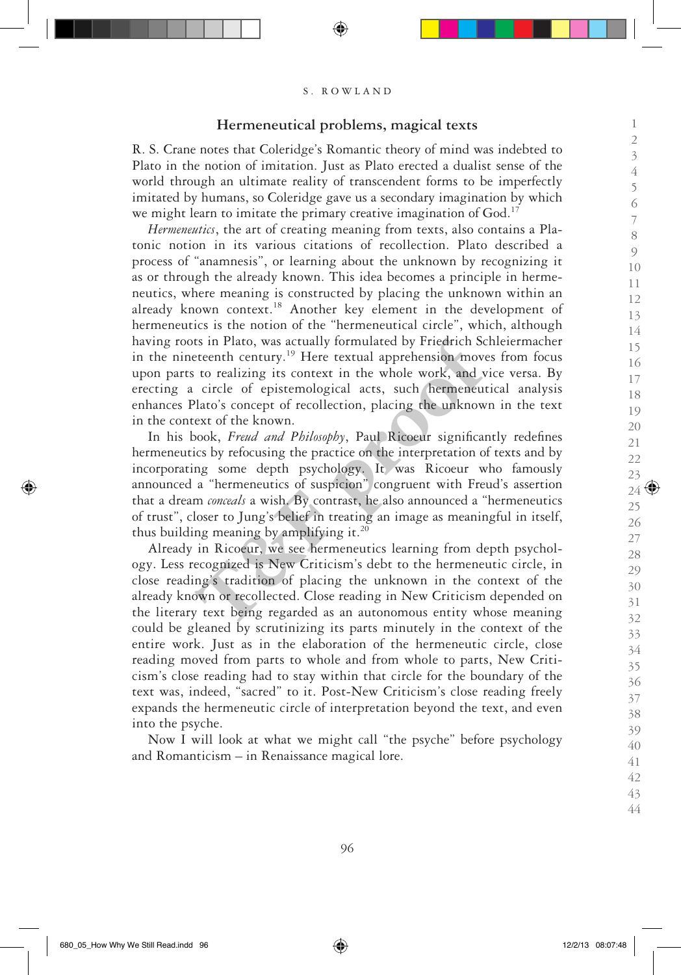#### **Hermeneutical problems, magical texts**

R. S. Crane notes that Coleridge's Romantic theory of mind was indebted to Plato in the notion of imitation. Just as Plato erected a dualist sense of the world through an ultimate reality of transcendent forms to be imperfectly imitated by humans, so Coleridge gave us a secondary imagination by which we might learn to imitate the primary creative imagination of  $God.17$ 

*Hermeneutics*, the art of creating meaning from texts, also contains a Platonic notion in its various citations of recollection. Plato described a process of "anamnesis", or learning about the unknown by recognizing it as or through the already known. This idea becomes a principle in hermeneutics, where meaning is constructed by placing the unknown within an already known context.<sup>18</sup> Another key element in the development of hermeneutics is the notion of the "hermeneutical circle", which, although having roots in Plato, was actually formulated by Friedrich Schleiermacher in the nineteenth century.19 Here textual apprehension moves from focus upon parts to realizing its context in the whole work, and vice versa. By erecting a circle of epistemological acts, such hermeneutical analysis enhances Plato's concept of recollection, placing the unknown in the text in the context of the known. R. S. Case to one can that coloring is Rowaring threes of ninital to its proposition is the still denoted a matter and its weak of the world denoted a matter and the most conting to transcend forms to be imperferely intera

 In his book, *Freud and Philosophy*, Paul Ricoeur significantly redefines hermeneutics by refocusing the practice on the interpretation of texts and by incorporating some depth psychology. It was Ricoeur who famously announced a "hermeneutics of suspicion" congruent with Freud's assertion that a dream *conceals* a wish. By contrast, he also announced a "hermeneutics of trust", closer to Jung's belief in treating an image as meaningful in itself, thus building meaning by amplifying it.<sup>20</sup>

 Already in Ricoeur, we see hermeneutics learning from depth psychology. Less recognized is New Criticism's debt to the hermeneutic circle, in close reading's tradition of placing the unknown in the context of the already known or recollected. Close reading in New Criticism depended on the literary text being regarded as an autonomous entity whose meaning could be gleaned by scrutinizing its parts minutely in the context of the entire work. Just as in the elaboration of the hermeneutic circle, close reading moved from parts to whole and from whole to parts, New Criticism's close reading had to stay within that circle for the boundary of the text was, indeed, "sacred" to it. Post-New Criticism's close reading freely expands the hermeneutic circle of interpretation beyond the text, and even into the psyche.

 Now I will look at what we might call "the psyche" before psychology and Romanticism – in Renaissance magical lore.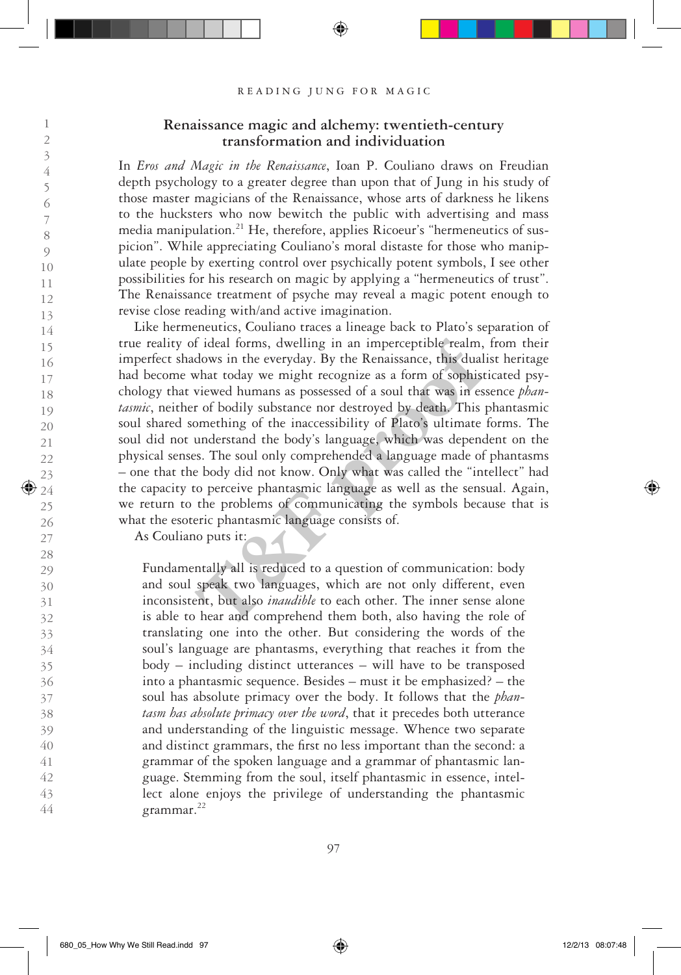### **Renaissance magic and alchemy: twentieth-century transformation and individuation**

In *Eros and Magic in the Renaissance*, Ioan P. Couliano draws on Freudian depth psychology to a greater degree than upon that of Jung in his study of those master magicians of the Renaissance, whose arts of darkness he likens to the hucksters who now bewitch the public with advertising and mass media manipulation.<sup>21</sup> He, therefore, applies Ricoeur's "hermeneutics of suspicion". While appreciating Couliano's moral distaste for those who manipulate people by exerting control over psychically potent symbols, I see other possibilities for his research on magic by applying a "hermeneutics of trust". The Renaissance treatment of psyche may reveal a magic potent enough to revise close reading with/and active imagination.

 Like hermeneutics, Couliano traces a lineage back to Plato's separation of true reality of ideal forms, dwelling in an imperceptible realm, from their imperfect shadows in the everyday. By the Renaissance, this dualist heritage had become what today we might recognize as a form of sophisticated psychology that viewed humans as possessed of a soul that was in essence *phantasmic*, neither of bodily substance nor destroyed by death. This phantasmic soul shared something of the inaccessibility of Plato's ultimate forms. The soul did not understand the body's language, which was dependent on the physical senses. The soul only comprehended a language made of phantasms – one that the body did not know. Only what was called the "intellect" had the capacity to perceive phantasmic language as well as the sensual. Again, we return to the problems of communicating the symbols because that is what the esoteric phantasmic language consists of.

As Couliano puts it:

Fundamentally all is reduced to a question of communication: body and soul speak two languages, which are not only different, even inconsistent, but also *inaudible* to each other. The inner sense alone is able to hear and comprehend them both, also having the role of translating one into the other. But considering the words of the soul's language are phantasms, everything that reaches it from the body – including distinct utterances – will have to be transposed into a phantasmic sequence. Besides – must it be emphasized? – the soul has absolute primacy over the body. It follows that the *phantasm has absolute primacy over the word*, that it precedes both utterance and understanding of the linguistic message. Whence two separate and distinct grammars, the first no less important than the second: a grammar of the spoken language and a grammar of phantasmic language. Stemming from the soul, itself phantasmic in essence, intellect alone enjoys the privilege of understanding the phantasmic grammar. $^{22}$ In Eros and Magneia relations and number of the probability of the state of the state of the state of the state of the state of the state of the state of the state of the state of the state of the Kenaisance, whose are to

 $\frac{1}{2}$  $\mathfrak{f}$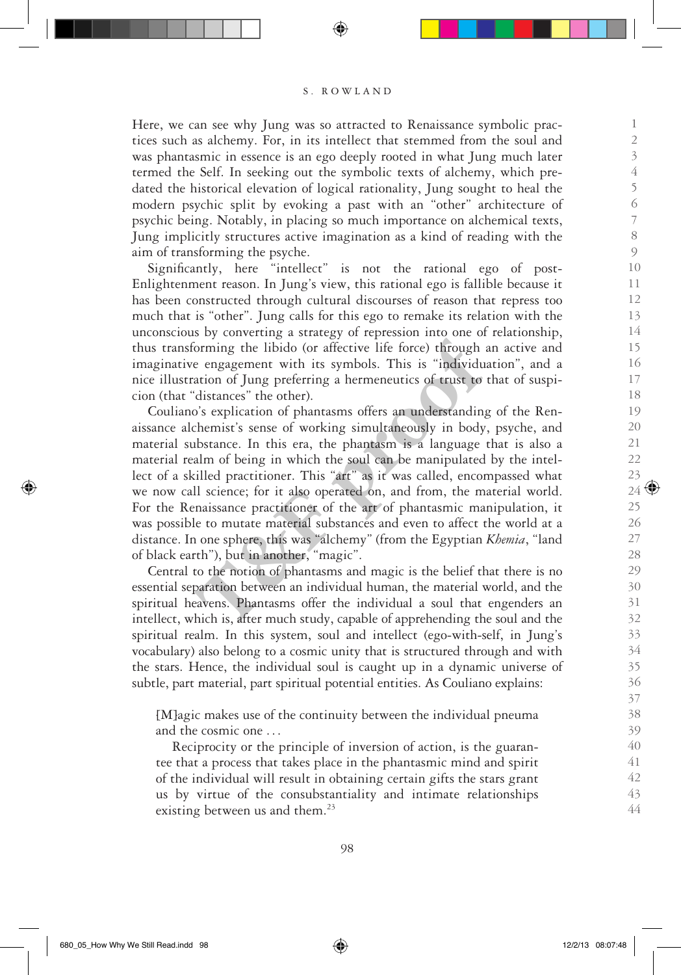Here, we can see why Jung was so attracted to Renaissance symbolic practices such as alchemy. For, in its intellect that stemmed from the soul and was phantasmic in essence is an ego deeply rooted in what Jung much later termed the Self. In seeking out the symbolic texts of alchemy, which predated the historical elevation of logical rationality, Jung sought to heal the modern psychic split by evoking a past with an "other" architecture of psychic being. Notably, in placing so much importance on alchemical texts, Jung implicitly structures active imagination as a kind of reading with the aim of transforming the psyche.

Significantly, here "intellect" is not the rational ego of post-Enlightenment reason. In Jung's view, this rational ego is fallible because it has been constructed through cultural discourses of reason that repress too much that is "other". Jung calls for this ego to remake its relation with the unconscious by converting a strategy of repression into one of relationship, thus transforming the libido (or affective life force) through an active and imaginative engagement with its symbols. This is "individuation", and a nice illustration of Jung preferring a hermeneutics of trust to that of suspicion (that "distances" the other).

 Couliano's explication of phantasms offers an understanding of the Renaissance alchemist's sense of working simultaneously in body, psyche, and material substance. In this era, the phantasm is a language that is also a material realm of being in which the soul can be manipulated by the intellect of a skilled practitioner. This "art" as it was called, encompassed what we now call science; for it also operated on, and from, the material world. For the Renaissance practitioner of the art of phantasmic manipulation, it was possible to mutate material substances and even to affect the world at a distance. In one sphere, this was "alchemy" (from the Egyptian *Khemia*, "land of black earth"), but in another, "magic". From Maximum continuous continuous continuous continuous continuous continuous continuous continuous continuous continuous continuous continuous continuous continuous continuous continuous continuous continuous continuous

 Central to the notion of phantasms and magic is the belief that there is no essential separation between an individual human, the material world, and the spiritual heavens. Phantasms offer the individual a soul that engenders an intellect, which is, after much study, capable of apprehending the soul and the spiritual realm. In this system, soul and intellect (ego-with-self, in Jung's vocabulary) also belong to a cosmic unity that is structured through and with the stars. Hence, the individual soul is caught up in a dynamic universe of subtle, part material, part spiritual potential entities. As Couliano explains:

[M]agic makes use of the continuity between the individual pneuma and the cosmic one ...

Reciprocity or the principle of inversion of action, is the guarantee that a process that takes place in the phantasmic mind and spirit of the individual will result in obtaining certain gifts the stars grant us by virtue of the consubstantiality and intimate relationships existing between us and them.<sup>23</sup>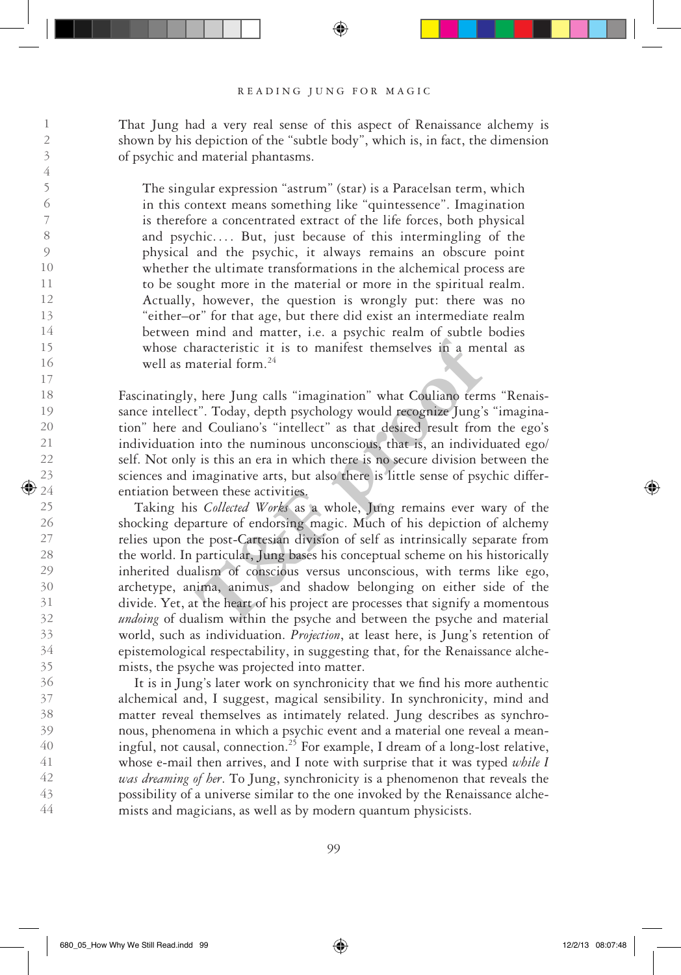That Jung had a very real sense of this aspect of Renaissance alchemy is shown by his depiction of the "subtle body", which is, in fact, the dimension of psychic and material phantasms.

The singular expression "astrum" (star) is a Paracelsan term, which in this context means something like "quintessence". Imagination is therefore a concentrated extract of the life forces, both physical and psychic.... But, just because of this intermingling of the physical and the psychic, it always remains an obscure point whether the ultimate transformations in the alchemical process are to be sought more in the material or more in the spiritual realm. Actually, however, the question is wrongly put: there was no "either–or" for that age, but there did exist an intermediate realm between mind and matter, i.e. a psychic realm of subtle bodies whose characteristic it is to manifest themselves in a mental as well as material form.<sup>24</sup>

Fascinatingly, here Jung calls "imagination" what Couliano terms "Renaissance intellect". Today, depth psychology would recognize Jung's "imagination" here and Couliano's "intellect" as that desired result from the ego's individuation into the numinous unconscious, that is, an individuated ego/ self. Not only is this an era in which there is no secure division between the sciences and imaginative arts, but also there is little sense of psychic differentiation between these activities.

Taking his *Collected Works* as a whole, Jung remains ever wary of the shocking departure of endorsing magic. Much of his depiction of alchemy relies upon the post-Cartesian division of self as intrinsically separate from the world. In particular, Jung bases his conceptual scheme on his historically inherited dualism of conscious versus unconscious, with terms like ego, archetype, anima, animus, and shadow belonging on either side of the divide. Yet, at the heart of his project are processes that signify a momentous *undoing* of dualism within the psyche and between the psyche and material world, such as individuation. *Projection*, at least here, is Jung's retention of epistemological respectability, in suggesting that, for the Renaissance alchemists, the psyche was projected into matter. solve the singular particular on the singular still and the singular particular in the singular contents of the singular particular in the contents of the singular particular in the contents of the singular original in the

 It is in Jung's later work on synchronicity that we find his more authentic alchemical and, I suggest, magical sensibility. In synchronicity, mind and matter reveal themselves as intimately related. Jung describes as synchronous, phenomena in which a psychic event and a material one reveal a meaningful, not causal, connection.<sup>25</sup> For example, I dream of a long-lost relative, whose e-mail then arrives, and I note with surprise that it was typed *while I was dreaming of her*. To Jung, synchronicity is a phenomenon that reveals the possibility of a universe similar to the one invoked by the Renaissance alchemists and magicians, as well as by modern quantum physicists.

 $\mathfrak{f}$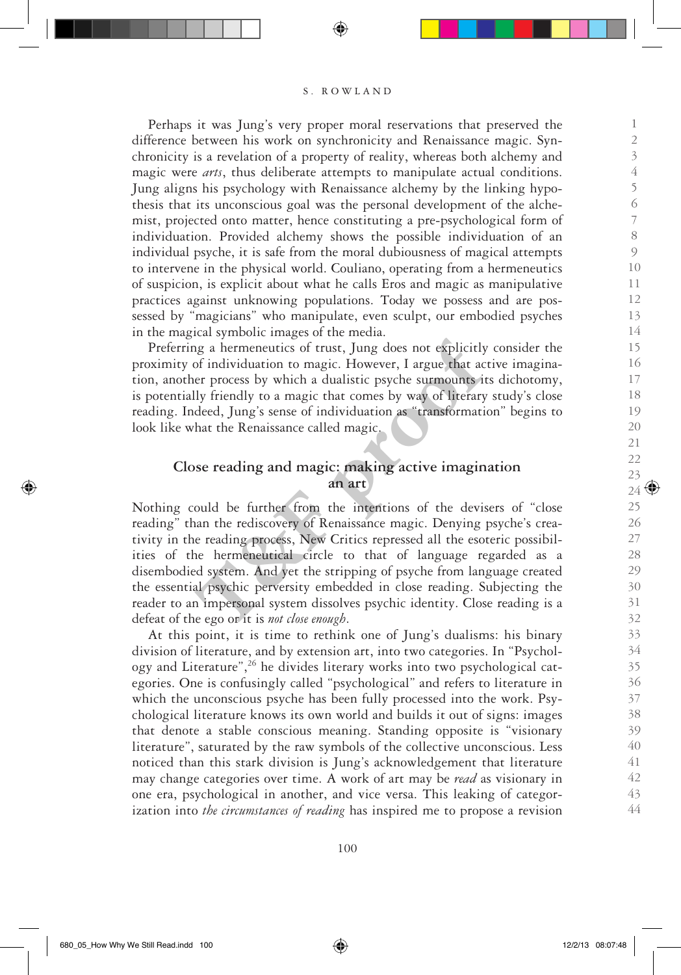Perhaps it was Jung's very proper moral reservations that preserved the difference between his work on synchronicity and Renaissance magic. Synchronicity is a revelation of a property of reality, whereas both alchemy and magic were *arts*, thus deliberate attempts to manipulate actual conditions. Jung aligns his psychology with Renaissance alchemy by the linking hypothesis that its unconscious goal was the personal development of the alchemist, projected onto matter, hence constituting a pre-psychological form of individuation. Provided alchemy shows the possible individuation of an individual psyche, it is safe from the moral dubiousness of magical attempts to intervene in the physical world. Couliano, operating from a hermeneutics of suspicion, is explicit about what he calls Eros and magic as manipulative practices against unknowing populations. Today we possess and are possessed by "magicians" who manipulate, even sculpt, our embodied psyches in the magical symbolic images of the media. diversion is a specifical system of the system of the system of the system of the system of the system of the system of the system of the system of the system of the system of the system of the system of the system of the

Preferring a hermeneutics of trust, Jung does not explicitly consider the proximity of individuation to magic. However, I argue that active imagination, another process by which a dualistic psyche surmounts its dichotomy, is potentially friendly to a magic that comes by way of literary study's close reading. Indeed, Jung's sense of individuation as "transformation" begins to look like what the Renaissance called magic.

## **Close reading and magic: making active imagination an art**

Nothing could be further from the intentions of the devisers of "close reading" than the rediscovery of Renaissance magic. Denying psyche's creativity in the reading process, New Critics repressed all the esoteric possibilities of the hermeneutical circle to that of language regarded as a disembodied system. And yet the stripping of psyche from language created the essential psychic perversity embedded in close reading. Subjecting the reader to an impersonal system dissolves psychic identity. Close reading is a defeat of the ego or it is *not close enough*.

 At this point, it is time to rethink one of Jung's dualisms: his binary division of literature, and by extension art, into two categories. In "Psychology and Literature",<sup>26</sup> he divides literary works into two psychological categories. One is confusingly called "psychological" and refers to literature in which the unconscious psyche has been fully processed into the work. Psychological literature knows its own world and builds it out of signs: images that denote a stable conscious meaning. Standing opposite is "visionary literature", saturated by the raw symbols of the collective unconscious. Less noticed than this stark division is Jung's acknowledgement that literature may change categories over time. A work of art may be *read* as visionary in one era, psychological in another, and vice versa. This leaking of categorization into *the circumstances of reading* has inspired me to propose a revision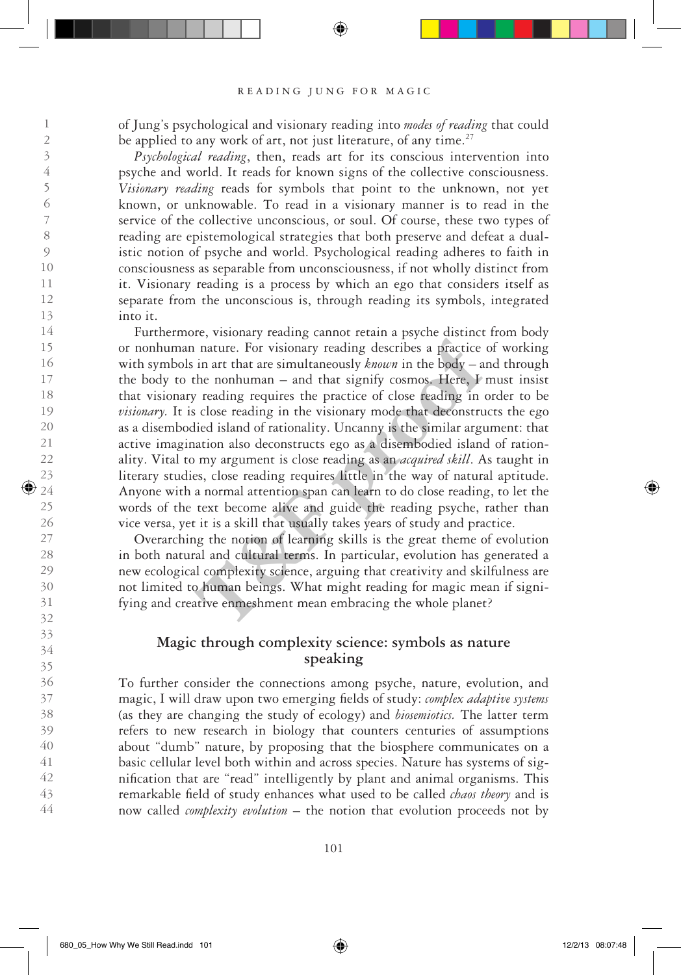of Jung's psychological and visionary reading into *modes of reading* that could be applied to any work of art, not just literature, of any time.<sup>27</sup>

*Psychological reading*, then, reads art for its conscious intervention into psyche and world. It reads for known signs of the collective consciousness. *Visionary reading* reads for symbols that point to the unknown, not yet known, or unknowable. To read in a visionary manner is to read in the service of the collective unconscious, or soul. Of course, these two types of reading are epistemological strategies that both preserve and defeat a dualistic notion of psyche and world. Psychological reading adheres to faith in consciousness as separable from unconsciousness, if not wholly distinct from it. Visionary reading is a process by which an ego that considers itself as separate from the unconscious is, through reading its symbols, integrated into it.

 Furthermore, visionary reading cannot retain a psyche distinct from body or nonhuman nature. For visionary reading describes a practice of working with symbols in art that are simultaneously *known* in the body – and through the body to the nonhuman – and that signify cosmos. Here, I must insist that visionary reading requires the practice of close reading in order to be *visionary*. It is close reading in the visionary mode that deconstructs the ego as a disembodied island of rationality. Uncanny is the similar argument: that active imagination also deconstructs ego as a disembodied island of rationality. Vital to my argument is close reading as an *acquired skill*. As taught in literary studies, close reading requires little in the way of natural aptitude. Anyone with a normal attention span can learn to do close reading, to let the words of the text become alive and guide the reading psyche, rather than vice versa, yet it is a skill that usually takes years of study and practice. 68 Payles *nothing* the form of the most term of the most term of the most term of the most term of the most term of the most term of the most term of the most of the collective consciousness.<br>
Yethioney models relat for k

 Overarching the notion of learning skills is the great theme of evolution in both natural and cultural terms. In particular, evolution has generated a new ecological complexity science, arguing that creativity and skilfulness are not limited to human beings. What might reading for magic mean if signifying and creative enmeshment mean embracing the whole planet?

## **Magic through complexity science: symbols as nature speaking**

To further consider the connections among psyche, nature, evolution, and magic, I will draw upon two emerging fields of study: *complex adaptive systems* (as they are changing the study of ecology) and *biosemiotics.* The latter term refers to new research in biology that counters centuries of assumptions about "dumb" nature, by proposing that the biosphere communicates on a basic cellular level both within and across species. Nature has systems of signification that are "read" intelligently by plant and animal organisms. This remarkable field of study enhances what used to be called *chaos theory* and is now called *complexity evolution* – the notion that evolution proceeds not by

 $\mathfrak{f}$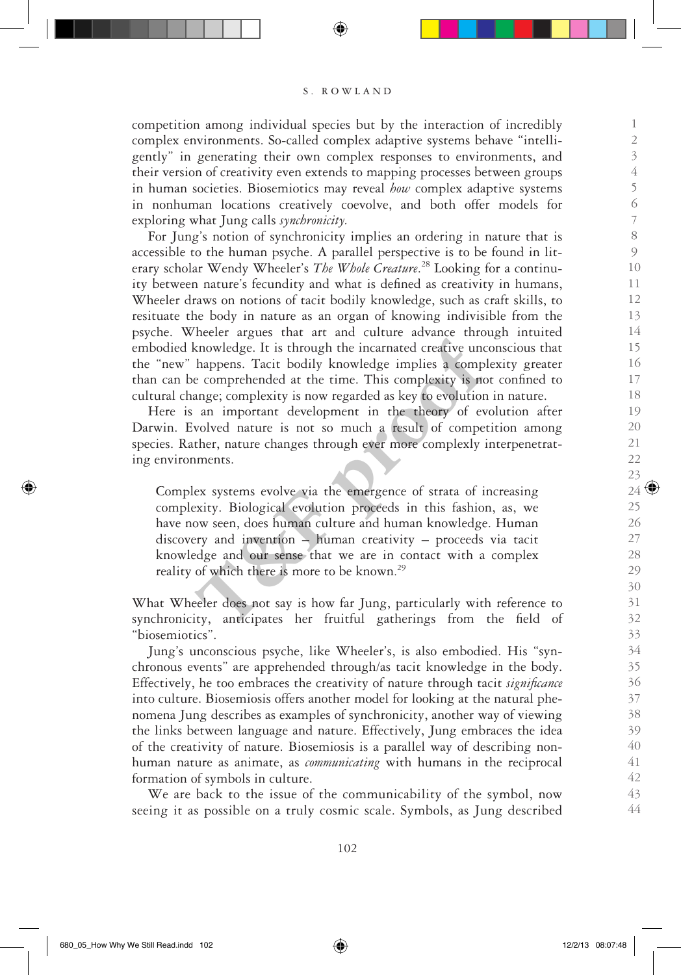competition among individual species but by the interaction of incredibly complex environments. So-called complex adaptive systems behave "intelligently" in generating their own complex responses to environments, and their version of creativity even extends to mapping processes between groups in human societies. Biosemiotics may reveal *how* complex adaptive systems in nonhuman locations creatively coevolve, and both offer models for exploring what Jung calls *synchronicity.*

 For Jung's notion of synchronicity implies an ordering in nature that is accessible to the human psyche. A parallel perspective is to be found in literary scholar Wendy Wheeler's *The Whole Creature*. <sup>28</sup> Looking for a continuity between nature's fecundity and what is defined as creativity in humans, Wheeler draws on notions of tacit bodily knowledge, such as craft skills, to resituate the body in nature as an organ of knowing indivisible from the psyche. Wheeler argues that art and culture advance through intuited embodied knowledge. It is through the incarnated creative unconscious that the "new" happens. Tacit bodily knowledge implies a complexity greater than can be comprehended at the time. This complexity is not confined to cultural change; complexity is now regarded as key to evolution in nature. For the means the state of the state of the state of the state of the state of the state of the state of the state of the state of the state of the state of the state of the state of the state of the state of the state of

Here is an important development in the theory of evolution after Darwin. Evolved nature is not so much a result of competition among species. Rather, nature changes through ever more complexly interpenetrating environments.

Complex systems evolve via the emergence of strata of increasing complexity. Biological evolution proceeds in this fashion, as, we have now seen, does human culture and human knowledge. Human discovery and invention – human creativity – proceeds via tacit knowledge and our sense that we are in contact with a complex reality of which there is more to be known. 29

What Wheeler does not say is how far Jung, particularly with reference to synchronicity, anticipates her fruitful gatherings from the field of "biosemiotics".

Jung's unconscious psyche, like Wheeler's, is also embodied. His "synchronous events" are apprehended through/as tacit knowledge in the body. Effectively, he too embraces the creativity of nature through tacit *significance*  into culture. Biosemiosis offers another model for looking at the natural phenomena Jung describes as examples of synchronicity, another way of viewing the links between language and nature. Effectively, Jung embraces the idea of the creativity of nature. Biosemiosis is a parallel way of describing nonhuman nature as animate, as *communicating* with humans in the reciprocal formation of symbols in culture.

We are back to the issue of the communicability of the symbol, now seeing it as possible on a truly cosmic scale. Symbols, as Jung described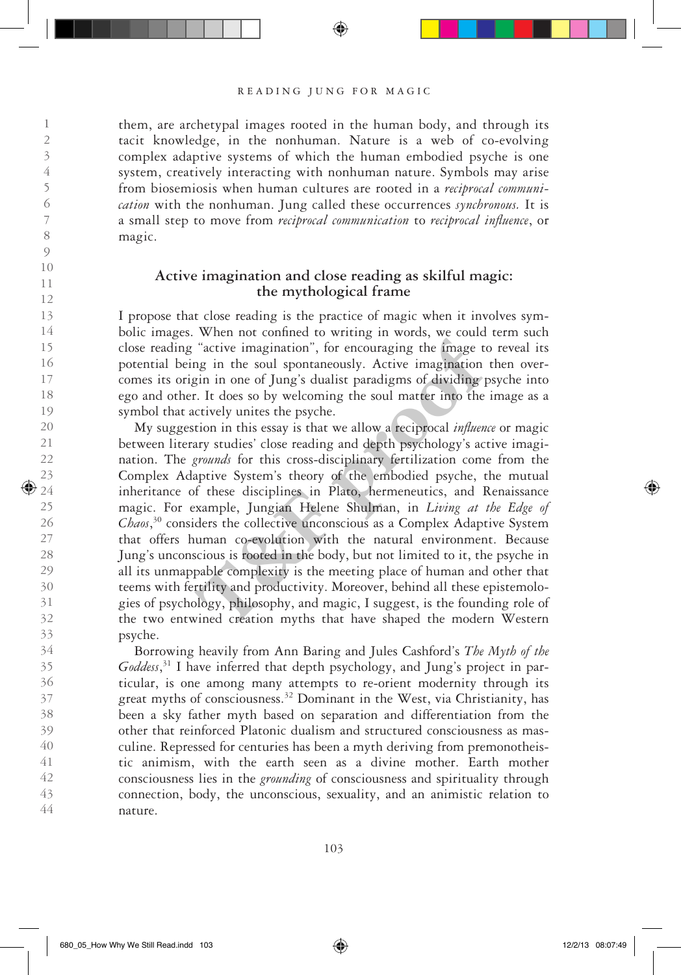them, are archetypal images rooted in the human body, and through its tacit knowledge, in the nonhuman. Nature is a web of co-evolving complex adaptive systems of which the human embodied psyche is one system, creatively interacting with nonhuman nature. Symbols may arise from biosemiosis when human cultures are rooted in a *reciprocal communication* with the nonhuman. Jung called these occurrences *synchronous.* It is a small step to move from *reciprocal communication* to *reciprocal influence*, or magic.

#### **Active imagination and close reading as skilful magic: the mythological frame**

I propose that close reading is the practice of magic when it involves symbolic images. When not confined to writing in words, we could term such close reading "active imagination", for encouraging the image to reveal its potential being in the soul spontaneously. Active imagination then overcomes its origin in one of Jung's dualist paradigms of dividing psyche into ego and other. It does so by welcoming the soul matter into the image as a symbol that actively unites the psyche.

 My suggestion in this essay is that we allow a reciprocal *influence* or magic between literary studies' close reading and depth psychology's active imagination. The *grounds* for this cross-disciplinary fertilization come from the Complex Adaptive System's theory of the embodied psyche, the mutual inheritance of these disciplines in Plato, hermeneutics, and Renaissance magic. For example, Jungian Helene Shulman, in *Living at the Edge of Chaos*, 30 considers the collective unconscious as a Complex Adaptive System that offers human co-evolution with the natural environment. Because Jung's unconscious is rooted in the body, but not limited to it, the psyche in all its unmappable complexity is the meeting place of human and other that teems with fertility and productivity. Moreover, behind all these epistemologies of psychology, philosophy, and magic, I suggest, is the founding role of the two entwined creation myths that have shaped the modern Western psyche. From Showtholgo, the method the showth the human-scale based of the still respect to the method in the still respect to the method in the still respect to the still respect to the method in the still respect to the method

Borrowing heavily from Ann Baring and Jules Cashford's *The Myth of the Goddess*, <sup>31</sup> I have inferred that depth psychology, and Jung's project in particular, is one among many attempts to re-orient modernity through its great myths of consciousness.<sup>32</sup> Dominant in the West, via Christianity, has been a sky father myth based on separation and differentiation from the other that reinforced Platonic dualism and structured consciousness as masculine. Repressed for centuries has been a myth deriving from premonotheistic animism, with the earth seen as a divine mother. Earth mother consciousness lies in the *grounding* of consciousness and spirituality through connection, body, the unconscious, sexuality, and an animistic relation to nature.

 $\frac{1}{2}$  $\mathfrak{f}$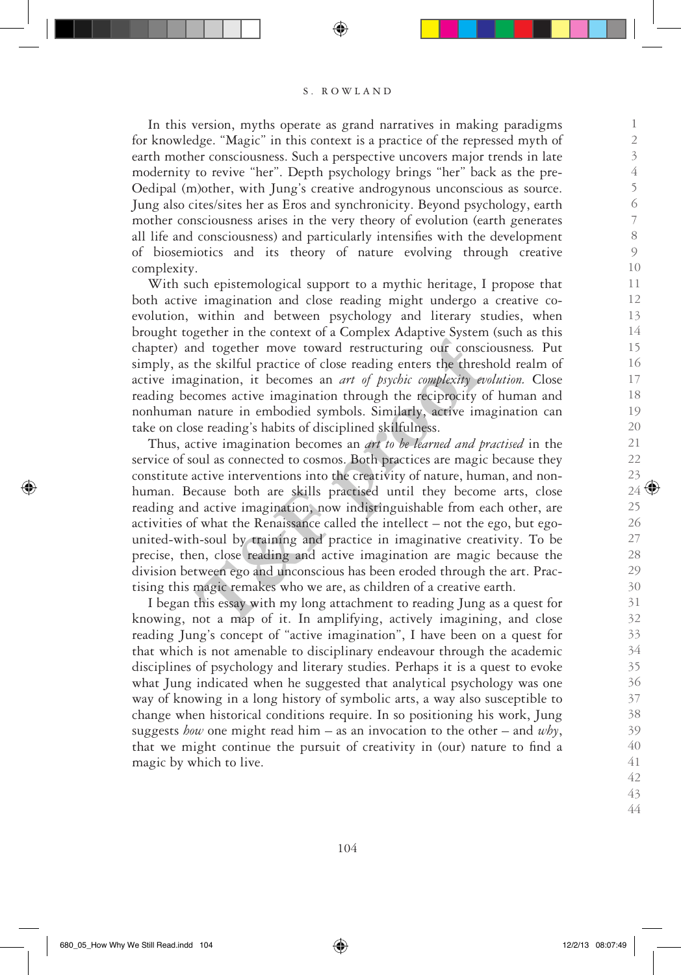In this version, myths operate as grand narratives in making paradigms for knowledge. "Magic" in this context is a practice of the repressed myth of earth mother consciousness. Such a perspective uncovers major trends in late modernity to revive "her". Depth psychology brings "her" back as the pre-Oedipal (m)other, with Jung's creative androgynous unconscious as source. Jung also cites/sites her as Eros and synchronicity. Beyond psychology, earth mother consciousness arises in the very theory of evolution (earth generates all life and consciousness) and particularly intensifies with the development of biosemiotics and its theory of nature evolving through creative complexity.

With such epistemological support to a mythic heritage, I propose that both active imagination and close reading might undergo a creative coevolution, within and between psychology and literary studies, when brought together in the context of a Complex Adaptive System (such as this chapter) and together move toward restructuring our consciousness*.* Put simply, as the skilful practice of close reading enters the threshold realm of active imagination, it becomes an *art of psychic complexity evolution.* Close reading becomes active imagination through the reciprocity of human and nonhuman nature in embodied symbols. Similarly, active imagination can take on close reading's habits of disciplined skilfulness.

Thus, active imagination becomes an *art to be learned and practised* in the service of soul as connected to cosmos. Both practices are magic because they constitute active interventions into the creativity of nature, human, and nonhuman. Because both are skills practised until they become arts, close reading and active imagination, now indistinguishable from each other, are activities of what the Renaissance called the intellect – not the ego, but egounited-with-soul by training and practice in imaginative creativity. To be precise, then, close reading and active imagination are magic because the division between ego and unconscious has been eroded through the art. Practising this magic remakes who we are, as children of a creative earth.

 I began this essay with my long attachment to reading Jung as a quest for knowing, not a map of it. In amplifying, actively imagining, and close reading Jung's concept of "active imagination", I have been on a quest for that which is not amenable to disciplinary endeavour through the academic disciplines of psychology and literary studies. Perhaps it is a quest to evoke what Jung indicated when he suggested that analytical psychology was one way of knowing in a long history of symbolic arts, a way also susceptible to change when historical conditions require. In so positioning his work, Jung suggests *how* one might read him – as an invocation to the other – and *why*, that we might continue the pursuit of creativity in (our) nature to find a magic by which to live. nexthereive the specific the specific the specific the specific theories of the specific the specific theories that is a proof that is a proof that is a proof that is a distribution of the specific the specific the specifi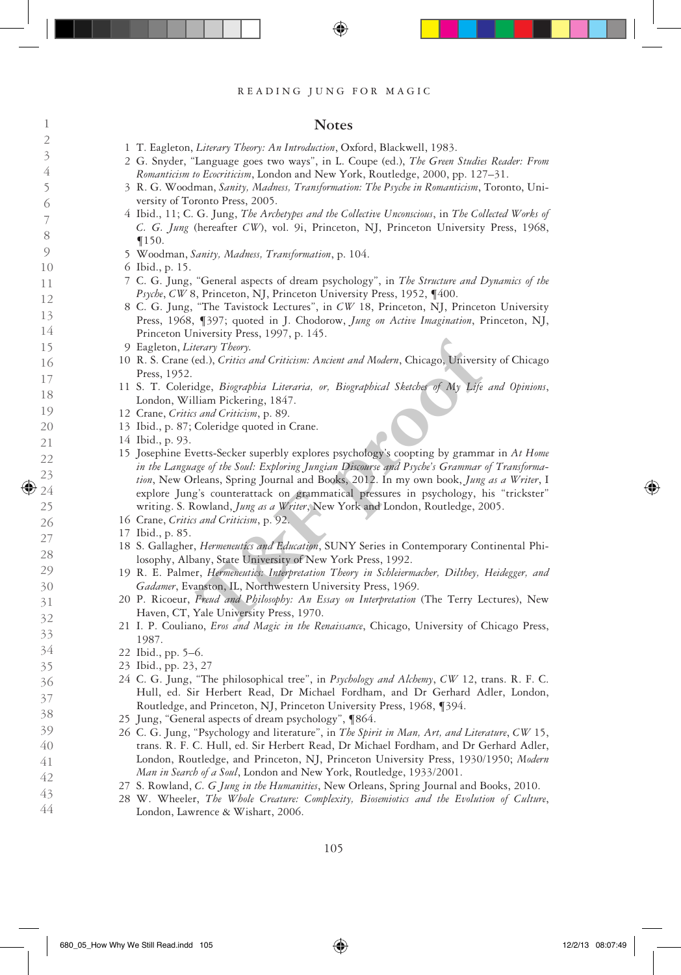#### **Notes**

- 1 T. Eagleton, *Literary Theory: An Introduction*, Oxford, Blackwell, 1983.
- 2 G. Snyder, "Language goes two ways", in L. Coupe (ed.), *The Green Studies Reader: From Romanticism to Ecocriticism*, London and New York, Routledge, 2000, pp. 127–31.
- 3 R. G. Woodman, *Sanity, Madness, Transformation: The Psyche in Romanticism*, Toronto, University of Toronto Press, 2005.
- 4 Ibid., 11; C. G. Jung, *The Archetypes and the Collective Unconscious*, in *The Collected Works of C. G. Jung* (hereafter *CW*), vol. 9i, Princeton, NJ, Princeton University Press, 1968, ¶150.
- 5 Woodman, *Sanity, Madness, Transformation*, p. 104.
- 6 Ibid., p. 15.

 $)$  $\overline{a}$  $\overline{a}$  $\frac{1}{2}$  $\mathfrak{t}$  $\frac{1}{2}$  $\frac{1}{2}$ 17  $\overline{\mathbf{S}}$  $)$  $)$  $\overline{a}$  $\overline{2}$  $\frac{2}{3}$  $\mathfrak{g}$ 5  $\tilde{1}$ 27 <sup>2</sup>  $)$  $)$  $\overline{a}$  $\overline{2}$  $\frac{3}{2}$  $\mathfrak{f}$ 5  $\tilde{1}$ 37 38  $)$  $)$  $\overline{a}$  $\overline{2}$  $\frac{1}{2}$  $\mathfrak{f}$ 

- 7 C. G. Jung, "General aspects of dream psychology", in *The Structure and Dynamics of the Psyche*, *CW* 8, Princeton, NJ, Princeton University Press, 1952, ¶400.
- 8 C. G. Jung, "The Tavistock Lectures", in *CW* 18, Princeton, NJ, Princeton University Press, 1968, ¶397; quoted in J. Chodorow, *Jung on Active Imagination*, Princeton, NJ, Princeton University Press, 1997, p. 145.
- 9 Eagleton, *Literary Theory.*
- 10 R. S. Crane (ed.), *Critics and Criticism: Ancient and Modern*, Chicago, University of Chicago Press, 1952.
- 11 S. T. Coleridge, *Biographia Literaria, or, Biographical Sketches of My Life and Opinions*, London, William Pickering, 1847.
- 12 Crane, *Critics and Criticism*, p. 89.
- 13 Ibid., p. 87; Coleridge quoted in Crane.
- 14 Ibid., p. 93.
- 15 Josephine Evetts-Secker superbly explores psychology's coopting by grammar in *At Home in the Language of the Soul: Exploring Jungian Discourse and Psyche's Grammar of Transformation*, New Orleans, Spring Journal and Books, 2012. In my own book, *Jung as a Writer*, I explore Jung's counterattack on grammatical pressures in psychology, his "trickster" writing. S. Rowland, *Jung as a Writer*, New York and London, Routledge, 2005. 1 T. Lagtera, Lawrentz Christian Christian Christian Christian Christian Christian Christian Christian Christian Christian Christian Christian Christian Christian Christian Christian Christian Christian Christian Christia
	- 16 Crane, *Critics and Criticism*, p. 92.
	- 17 Ibid., p. 85.
	- 18 S. Gallagher, *Hermeneutics and Education*, SUNY Series in Contemporary Continental Philosophy, Albany, State University of New York Press, 1992.
	- 19 R. E. Palmer, *Hermeneutics: Interpretation Theory in Schleiermacher, Dilthey, Heidegger, and Gadamer*, Evanston, IL, Northwestern University Press, 1969.
	- 20 P. Ricoeur, *Freud and Philosophy: An Essay on Interpretation* (The Terry Lectures), New Haven, CT, Yale University Press, 1970.
	- 21 I. P. Couliano, *Eros and Magic in the Renaissance*, Chicago, University of Chicago Press, 1987.
	- 22 Ibid., pp. 5–6.
	- 23 Ibid., pp. 23, 27
	- 24 C. G. Jung, "The philosophical tree", in *Psychology and Alchemy*, *CW* 12, trans. R. F. C. Hull, ed. Sir Herbert Read, Dr Michael Fordham, and Dr Gerhard Adler, London, Routledge, and Princeton, NJ, Princeton University Press, 1968, ¶394.
	- 25 Jung, "General aspects of dream psychology", ¶864.
	- 26 C. G. Jung, "Psychology and literature", in *The Spirit in Man, Art, and Literature*, *CW* 15, trans. R. F. C. Hull, ed. Sir Herbert Read, Dr Michael Fordham, and Dr Gerhard Adler, London, Routledge, and Princeton, NJ, Princeton University Press, 1930/1950; *Modern Man in Search of a Soul*, London and New York, Routledge, 1933/2001.
	- 27 S. Rowland, *C. G Jung in the Humanities*, New Orleans, Spring Journal and Books, 2010.
	- 28 W. Wheeler, *The Whole Creature: Complexity, Biosemiotics and the Evolution of Culture*, London, Lawrence & Wishart, 2006.